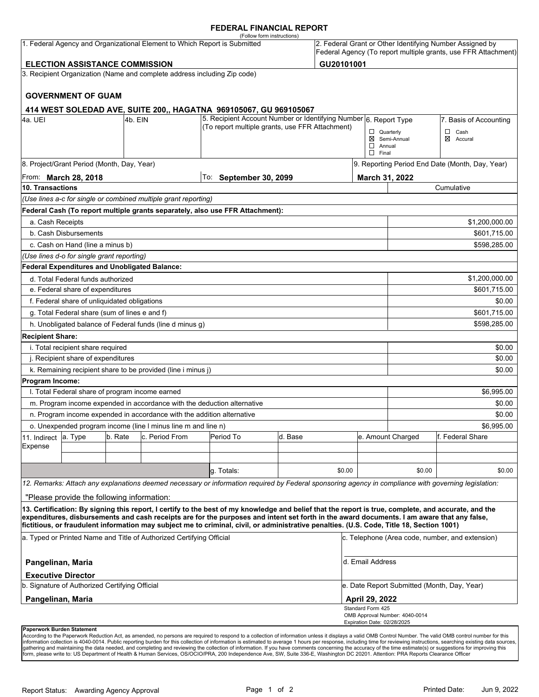### **FEDERAL FINANCIAL REPORT**

|                                                       |                                                      |         | 1. Federal Agency and Organizational Element to Which Report is Submitted | (Follow form instructions)                                                                                                                                                                                                                                                                                                                                                                                                                      |         |            |                                                   |                                             | 2. Federal Grant or Other Identifying Number Assigned by       |  |
|-------------------------------------------------------|------------------------------------------------------|---------|---------------------------------------------------------------------------|-------------------------------------------------------------------------------------------------------------------------------------------------------------------------------------------------------------------------------------------------------------------------------------------------------------------------------------------------------------------------------------------------------------------------------------------------|---------|------------|---------------------------------------------------|---------------------------------------------|----------------------------------------------------------------|--|
|                                                       |                                                      |         |                                                                           |                                                                                                                                                                                                                                                                                                                                                                                                                                                 |         |            |                                                   |                                             | Federal Agency (To report multiple grants, use FFR Attachment) |  |
|                                                       | <b>ELECTION ASSISTANCE COMMISSION</b>                |         |                                                                           |                                                                                                                                                                                                                                                                                                                                                                                                                                                 |         | GU20101001 |                                                   |                                             |                                                                |  |
|                                                       |                                                      |         | 3. Recipient Organization (Name and complete address including Zip code)  |                                                                                                                                                                                                                                                                                                                                                                                                                                                 |         |            |                                                   |                                             |                                                                |  |
|                                                       | <b>GOVERNMENT OF GUAM</b>                            |         |                                                                           |                                                                                                                                                                                                                                                                                                                                                                                                                                                 |         |            |                                                   |                                             |                                                                |  |
|                                                       |                                                      |         |                                                                           | 414 WEST SOLEDAD AVE, SUITE 200,, HAGATNA 969105067, GU 969105067                                                                                                                                                                                                                                                                                                                                                                               |         |            |                                                   |                                             |                                                                |  |
| 4a. UEI                                               |                                                      | 4b. EIN |                                                                           | 5. Recipient Account Number or Identifying Number 6. Report Type<br>(To report multiple grants, use FFR Attachment)                                                                                                                                                                                                                                                                                                                             |         |            |                                                   |                                             | 7. Basis of Accounting                                         |  |
|                                                       |                                                      |         |                                                                           |                                                                                                                                                                                                                                                                                                                                                                                                                                                 |         |            | $\Box$ Quarterly<br>$\Box$ Annual<br>$\Box$ Final | ⊠ Semi-Annual                               | $\Box$ Cash<br>⊠ Accural                                       |  |
|                                                       | 8. Project/Grant Period (Month, Day, Year)           |         |                                                                           |                                                                                                                                                                                                                                                                                                                                                                                                                                                 |         |            |                                                   |                                             | 9. Reporting Period End Date (Month, Day, Year)                |  |
| To: September 30, 2099<br>From: <b>March 28, 2018</b> |                                                      |         |                                                                           |                                                                                                                                                                                                                                                                                                                                                                                                                                                 |         |            | March 31, 2022                                    |                                             |                                                                |  |
| 10. Transactions                                      |                                                      |         |                                                                           |                                                                                                                                                                                                                                                                                                                                                                                                                                                 |         |            |                                                   | Cumulative                                  |                                                                |  |
|                                                       |                                                      |         | (Use lines a-c for single or combined multiple grant reporting)           |                                                                                                                                                                                                                                                                                                                                                                                                                                                 |         |            |                                                   |                                             |                                                                |  |
|                                                       |                                                      |         |                                                                           | Federal Cash (To report multiple grants separately, also use FFR Attachment):                                                                                                                                                                                                                                                                                                                                                                   |         |            |                                                   |                                             |                                                                |  |
| a. Cash Receipts                                      |                                                      |         |                                                                           |                                                                                                                                                                                                                                                                                                                                                                                                                                                 |         |            |                                                   |                                             | \$1,200,000.00                                                 |  |
|                                                       | b. Cash Disbursements                                |         |                                                                           |                                                                                                                                                                                                                                                                                                                                                                                                                                                 |         |            |                                                   |                                             | \$601,715.00                                                   |  |
|                                                       | c. Cash on Hand (line a minus b)                     |         |                                                                           |                                                                                                                                                                                                                                                                                                                                                                                                                                                 |         |            |                                                   |                                             | \$598,285.00                                                   |  |
|                                                       | (Use lines d-o for single grant reporting)           |         |                                                                           |                                                                                                                                                                                                                                                                                                                                                                                                                                                 |         |            |                                                   |                                             |                                                                |  |
|                                                       | <b>Federal Expenditures and Unobligated Balance:</b> |         |                                                                           |                                                                                                                                                                                                                                                                                                                                                                                                                                                 |         |            |                                                   |                                             |                                                                |  |
|                                                       | d. Total Federal funds authorized                    |         |                                                                           |                                                                                                                                                                                                                                                                                                                                                                                                                                                 |         |            |                                                   |                                             | \$1,200,000.00                                                 |  |
|                                                       | e. Federal share of expenditures                     |         |                                                                           |                                                                                                                                                                                                                                                                                                                                                                                                                                                 |         |            |                                                   |                                             | \$601,715.00                                                   |  |
|                                                       | f. Federal share of unliquidated obligations         |         |                                                                           |                                                                                                                                                                                                                                                                                                                                                                                                                                                 |         |            |                                                   |                                             | \$0.00                                                         |  |
|                                                       | g. Total Federal share (sum of lines e and f)        |         |                                                                           |                                                                                                                                                                                                                                                                                                                                                                                                                                                 |         |            |                                                   |                                             | \$601,715.00                                                   |  |
|                                                       |                                                      |         | h. Unobligated balance of Federal funds (line d minus g)                  |                                                                                                                                                                                                                                                                                                                                                                                                                                                 |         |            |                                                   |                                             | \$598,285.00                                                   |  |
| <b>Recipient Share:</b>                               |                                                      |         |                                                                           |                                                                                                                                                                                                                                                                                                                                                                                                                                                 |         |            |                                                   |                                             |                                                                |  |
|                                                       | i. Total recipient share required                    |         |                                                                           |                                                                                                                                                                                                                                                                                                                                                                                                                                                 |         |            |                                                   |                                             | \$0.00                                                         |  |
|                                                       | j. Recipient share of expenditures                   |         |                                                                           |                                                                                                                                                                                                                                                                                                                                                                                                                                                 |         |            |                                                   |                                             | \$0.00                                                         |  |
|                                                       |                                                      |         | k. Remaining recipient share to be provided (line i minus j)              |                                                                                                                                                                                                                                                                                                                                                                                                                                                 |         |            |                                                   |                                             | \$0.00                                                         |  |
| Program Income:                                       |                                                      |         |                                                                           |                                                                                                                                                                                                                                                                                                                                                                                                                                                 |         |            |                                                   |                                             |                                                                |  |
|                                                       | I. Total Federal share of program income earned      |         |                                                                           |                                                                                                                                                                                                                                                                                                                                                                                                                                                 |         |            |                                                   |                                             | \$6,995.00                                                     |  |
|                                                       |                                                      |         | m. Program income expended in accordance with the deduction alternative   |                                                                                                                                                                                                                                                                                                                                                                                                                                                 |         |            |                                                   |                                             | \$0.00                                                         |  |
|                                                       |                                                      |         | n. Program income expended in accordance with the addition alternative    |                                                                                                                                                                                                                                                                                                                                                                                                                                                 |         |            |                                                   |                                             | \$0.00                                                         |  |
|                                                       |                                                      |         | o. Unexpended program income (line I minus line m and line n)             |                                                                                                                                                                                                                                                                                                                                                                                                                                                 |         |            |                                                   |                                             | \$6,995.00                                                     |  |
| 11. Indirect<br>Expense                               | a. Type                                              | b. Rate | c. Period From                                                            | Period To                                                                                                                                                                                                                                                                                                                                                                                                                                       | d. Base |            |                                                   | e. Amount Charged                           | f. Federal Share                                               |  |
|                                                       |                                                      |         |                                                                           |                                                                                                                                                                                                                                                                                                                                                                                                                                                 |         |            |                                                   |                                             |                                                                |  |
|                                                       |                                                      |         |                                                                           | q. Totals:                                                                                                                                                                                                                                                                                                                                                                                                                                      |         | \$0.00     |                                                   | \$0.00                                      | \$0.00                                                         |  |
|                                                       |                                                      |         |                                                                           |                                                                                                                                                                                                                                                                                                                                                                                                                                                 |         |            |                                                   |                                             |                                                                |  |
|                                                       |                                                      |         |                                                                           | 12. Remarks: Attach any explanations deemed necessary or information required by Federal sponsoring agency in compliance with governing legislation:                                                                                                                                                                                                                                                                                            |         |            |                                                   |                                             |                                                                |  |
|                                                       | "Please provide the following information:           |         |                                                                           |                                                                                                                                                                                                                                                                                                                                                                                                                                                 |         |            |                                                   |                                             |                                                                |  |
|                                                       |                                                      |         |                                                                           | 13. Certification: By signing this report, I certify to the best of my knowledge and belief that the report is true, complete, and accurate, and the<br>expenditures, disbursements and cash receipts are for the purposes and intent set forth in the award documents. I am aware that any false,<br>fictitious, or fraudulent information may subject me to criminal, civil, or administrative penalties. (U.S. Code, Title 18, Section 1001) |         |            |                                                   |                                             |                                                                |  |
|                                                       |                                                      |         | a. Typed or Printed Name and Title of Authorized Certifying Official      |                                                                                                                                                                                                                                                                                                                                                                                                                                                 |         |            |                                                   |                                             | c. Telephone (Area code, number, and extension)                |  |
| Pangelinan, Maria                                     |                                                      |         |                                                                           |                                                                                                                                                                                                                                                                                                                                                                                                                                                 |         |            | d. Email Address                                  |                                             |                                                                |  |
|                                                       | <b>Executive Director</b>                            |         |                                                                           |                                                                                                                                                                                                                                                                                                                                                                                                                                                 |         |            |                                                   |                                             |                                                                |  |
|                                                       | b. Signature of Authorized Certifying Official       |         |                                                                           |                                                                                                                                                                                                                                                                                                                                                                                                                                                 |         |            |                                                   | e. Date Report Submitted (Month, Day, Year) |                                                                |  |
| Pangelinan, Maria                                     |                                                      |         |                                                                           |                                                                                                                                                                                                                                                                                                                                                                                                                                                 |         |            | <b>April 29, 2022</b>                             |                                             |                                                                |  |
|                                                       |                                                      |         |                                                                           |                                                                                                                                                                                                                                                                                                                                                                                                                                                 |         |            | Standard Form 425<br>Expiration Date: 02/28/2025  | OMB Approval Number: 4040-0014              |                                                                |  |
| Paperwork Burden Statement                            |                                                      |         |                                                                           |                                                                                                                                                                                                                                                                                                                                                                                                                                                 |         |            |                                                   |                                             |                                                                |  |

According to the Paperwork Reduction Act, as amended, no persons are required to respond to a collection of information unless it displays a valid OMB Control Number. The valid OMB control number for this<br>information colle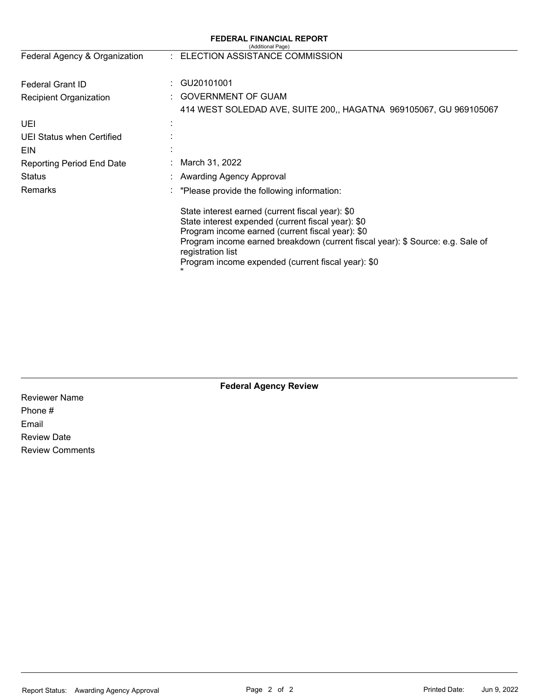| <b>FEDERAL FINANCIAL REPORT</b><br>(Additional Page) |                                                                                                                                                                                                                                                                                                                         |  |  |  |  |  |
|------------------------------------------------------|-------------------------------------------------------------------------------------------------------------------------------------------------------------------------------------------------------------------------------------------------------------------------------------------------------------------------|--|--|--|--|--|
| Federal Agency & Organization                        | : ELECTION ASSISTANCE COMMISSION                                                                                                                                                                                                                                                                                        |  |  |  |  |  |
| <b>Federal Grant ID</b>                              | GU20101001                                                                                                                                                                                                                                                                                                              |  |  |  |  |  |
| Recipient Organization                               | <b>GOVERNMENT OF GUAM</b>                                                                                                                                                                                                                                                                                               |  |  |  |  |  |
|                                                      | 414 WEST SOLEDAD AVE, SUITE 200,, HAGATNA 969105067, GU 969105067                                                                                                                                                                                                                                                       |  |  |  |  |  |
| UEI                                                  |                                                                                                                                                                                                                                                                                                                         |  |  |  |  |  |
| UEI Status when Certified                            |                                                                                                                                                                                                                                                                                                                         |  |  |  |  |  |
| EIN                                                  |                                                                                                                                                                                                                                                                                                                         |  |  |  |  |  |
| <b>Reporting Period End Date</b>                     | March 31, 2022                                                                                                                                                                                                                                                                                                          |  |  |  |  |  |
| <b>Status</b>                                        | <b>Awarding Agency Approval</b>                                                                                                                                                                                                                                                                                         |  |  |  |  |  |
| <b>Remarks</b>                                       | "Please provide the following information:                                                                                                                                                                                                                                                                              |  |  |  |  |  |
|                                                      | State interest earned (current fiscal year): \$0<br>State interest expended (current fiscal year): \$0<br>Program income earned (current fiscal year): \$0<br>Program income earned breakdown (current fiscal year): \$ Source: e.g. Sale of<br>registration list<br>Program income expended (current fiscal year): \$0 |  |  |  |  |  |

Reviewer Name Phone # Email Review Date Review Comments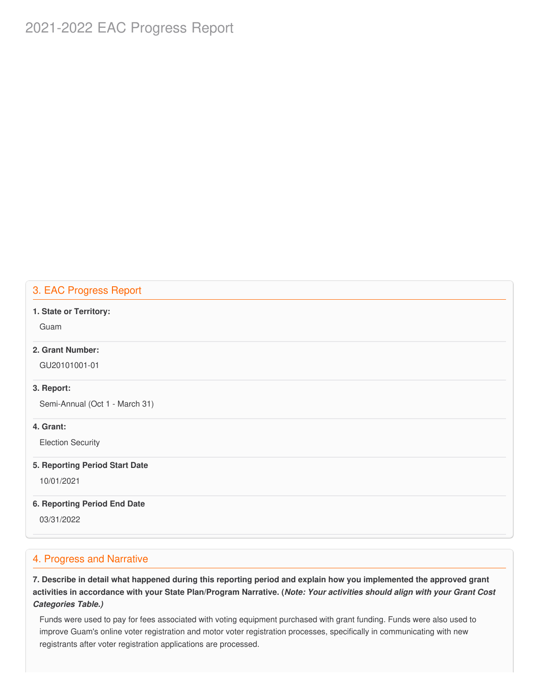# 2021-2022 EAC Progress Report

### 3. EAC Progress Report

#### **1. State or Territory:**

Guam

### **2. Grant Number:**

GU20101001-01

#### **3. Report:**

Semi-Annual (Oct 1 - March 31)

### **4. Grant:**

Election Security

#### **5. Reporting Period Start Date**

10/01/2021

#### **6. Reporting Period End Date**

03/31/2022

### 4. Progress and Narrative

7. Describe in detail what happened during this reporting period and explain how you implemented the approved grant activities in accordance with your State Plan/Program Narrative. (*Note: Your activities should align with your Grant Cost Categories Table.)*

 Funds were used to pay for fees associated with voting equipment purchased with grant funding. Funds were also used to improve Guam's online voter registration and motor voter registration processes, specifically in communicating with new registrants after voter registration applications are processed.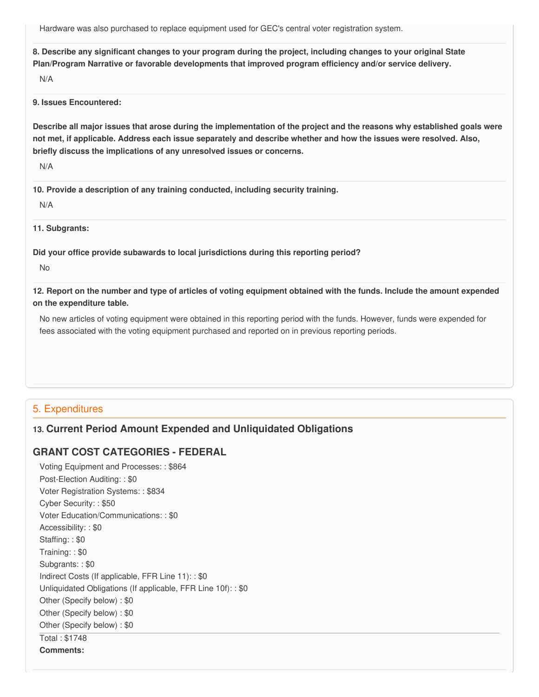Hardware was also purchased to replace equipment used for GEC's central voter registration system.

8. Describe any significant changes to your program during the project, including changes to your original State  **Plan/Program Narrative or favorable developments that improved program efficiency and/or service delivery.**

N/A

**9. Issues Encountered:**

Describe all major issues that arose during the implementation of the project and the reasons why established goals were not met, if applicable. Address each issue separately and describe whether and how the issues were resolved. Also,  **briefly discuss the implications of any unresolved issues or concerns.**

N/A

 **10. Provide a description of any training conducted, including security training.**

N/A

**11. Subgrants:**

 **Did your office provide subawards to local jurisdictions during this reporting period?**

No

12. Report on the number and type of articles of voting equipment obtained with the funds. Include the amount expended  **on the expenditure table.**

 No new articles of voting equipment were obtained in this reporting period with the funds. However, funds were expended for fees associated with the voting equipment purchased and reported on in previous reporting periods.

## 5. Expenditures

# **13. Current Period Amount Expended and Unliquidated Obligations**

# **GRANT COST CATEGORIES - FEDERAL**

 Voting Equipment and Processes: : \$864 Post-Election Auditing: : \$0 Voter Registration Systems: : \$834 Cyber Security: : \$50 Voter Education/Communications: : \$0 Accessibility: : \$0 Staffing: : \$0 Training: : \$0 Subgrants: : \$0 Indirect Costs (If applicable, FFR Line 11): : \$0 Unliquidated Obligations (If applicable, FFR Line 10f): : \$0 Other (Specify below) : \$0 Other (Specify below) : \$0 Other (Specify below) : \$0 Total : \$1748 **Comments:**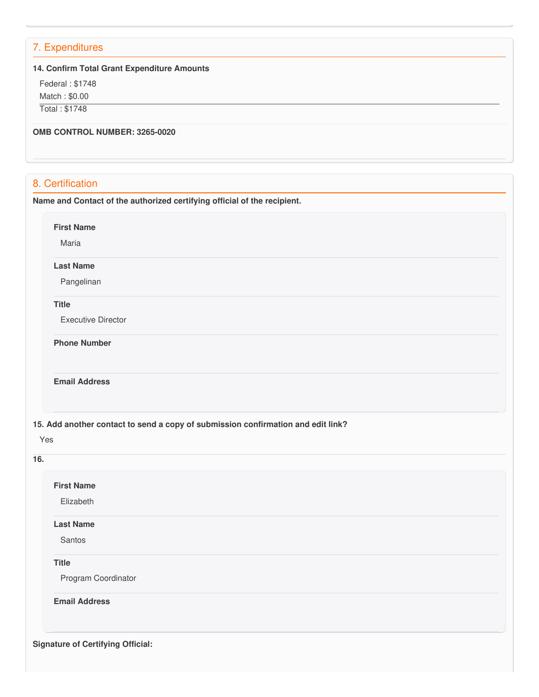# 7. Expenditures

#### **14. Confirm Total Grant Expenditure Amounts**

 Federal : \$1748 Match : \$0.00

Total : \$1748

 **OMB CONTROL NUMBER: 3265-0020**

# 8. Certification

 **Name and Contact of the authorized certifying official of the recipient.**

**First Name**

Maria

#### **Last Name**

Pangelinan

### **Title**

Executive Director

**Phone Number** 

**Email Address**

 **15. Add another contact to send a copy of submission confirmation and edit link?**

| <b>First Name</b> |                      |  |  |
|-------------------|----------------------|--|--|
|                   | Elizabeth            |  |  |
| <b>Last Name</b>  |                      |  |  |
| Santos            |                      |  |  |
| <b>Title</b>      |                      |  |  |
|                   | Program Coordinator  |  |  |
|                   | <b>Email Address</b> |  |  |
|                   |                      |  |  |